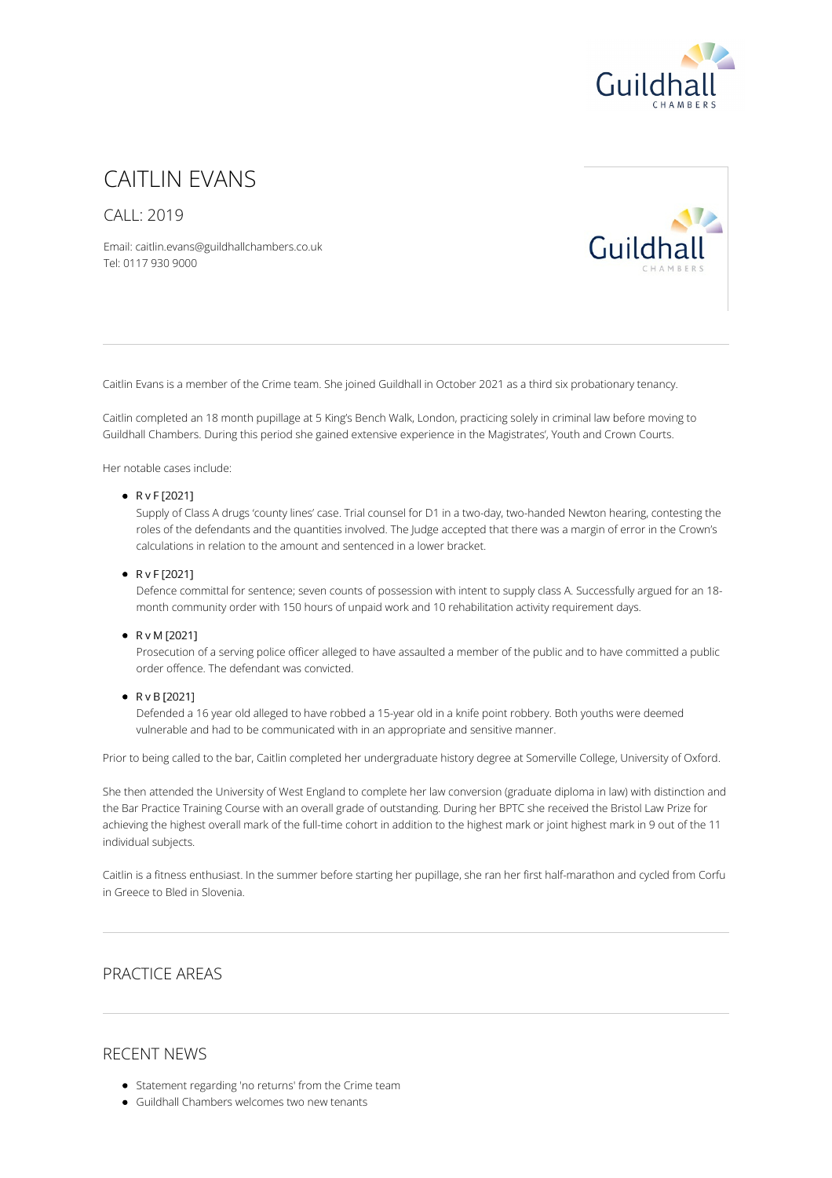

# CAITLIN FVANS

CALL: 2019

Email: caitlin.evans@guildhallchambers.co.uk Tel: 0117 930 9000



Caitlin Evans is a member of the Crime team. She joined Guildhall in October 2021 as a third six probationary tenancy.

Caitlin completed an 18 month pupillage at 5 King's Bench Walk, London, practicing solely in criminal law before moving to Guildhall Chambers. During this period she gained extensive experience in the Magistrates', Youth and Crown Courts.

Her notable cases include:

#### $\bullet$  R v F [2021]

Supply of Class A drugs 'county lines' case. Trial counsel for D1 in a two-day, two-handed Newton hearing, contesting the roles of the defendants and the quantities involved. The Judge accepted that there was a margin of error in the Crown's calculations in relation to the amount and sentenced in a lower bracket.

#### R v F [2021]

Defence committal for sentence; seven counts of possession with intent to supply class A. Successfully argued for an 18 month community order with 150 hours of unpaid work and 10 rehabilitation activity requirement days.

#### R v M [2021]

Prosecution of a serving police officer alleged to have assaulted a member of the public and to have committed a public order offence. The defendant was convicted.

#### R v B [2021]

Defended a 16 year old alleged to have robbed a 15-year old in a knife point robbery. Both youths were deemed vulnerable and had to be communicated with in an appropriate and sensitive manner.

Prior to being called to the bar, Caitlin completed her undergraduate history degree at Somerville College, University of Oxford.

She then attended the University of West England to complete her law conversion (graduate diploma in law) with distinction and the Bar Practice Training Course with an overall grade of outstanding. During her BPTC she received the Bristol Law Prize for achieving the highest overall mark of the full-time cohort in addition to the highest mark or joint highest mark in 9 out of the 11 individual subjects.

Caitlin is a fitness enthusiast. In the summer before starting her pupillage, she ran her first half-marathon and cycled from Corfu in Greece to Bled in Slovenia.

## PRACTICE AREAS

### RECENT NEWS

- Statement regarding 'no returns' from the Crime team
- Guildhall Chambers welcomes two new tenants